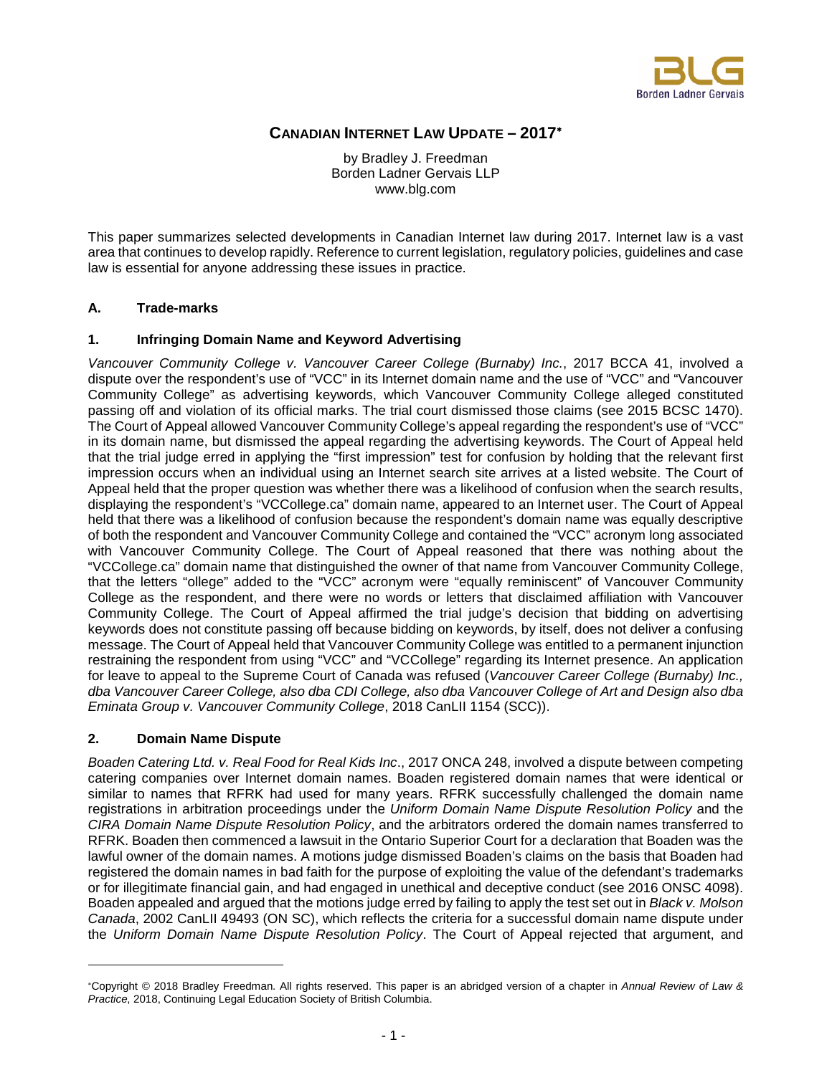

# **CANADIAN INTERNET LAW UPDATE – 2017**<sup>∗</sup>

by Bradley J. Freedman Borden Ladner Gervais LLP www.blg.com

This paper summarizes selected developments in Canadian Internet law during 2017. Internet law is a vast area that continues to develop rapidly. Reference to current legislation, regulatory policies, guidelines and case law is essential for anyone addressing these issues in practice.

#### **A. Trade-marks**

#### **1. Infringing Domain Name and Keyword Advertising**

*Vancouver Community College v. Vancouver Career College (Burnaby) Inc.*, 2017 BCCA 41, involved a dispute over the respondent's use of "VCC" in its Internet domain name and the use of "VCC" and "Vancouver Community College" as advertising keywords, which Vancouver Community College alleged constituted passing off and violation of its official marks. The trial court dismissed those claims (see 2015 BCSC 1470). The Court of Appeal allowed Vancouver Community College's appeal regarding the respondent's use of "VCC" in its domain name, but dismissed the appeal regarding the advertising keywords. The Court of Appeal held that the trial judge erred in applying the "first impression" test for confusion by holding that the relevant first impression occurs when an individual using an Internet search site arrives at a listed website. The Court of Appeal held that the proper question was whether there was a likelihood of confusion when the search results, displaying the respondent's "VCCollege.ca" domain name, appeared to an Internet user. The Court of Appeal held that there was a likelihood of confusion because the respondent's domain name was equally descriptive of both the respondent and Vancouver Community College and contained the "VCC" acronym long associated with Vancouver Community College. The Court of Appeal reasoned that there was nothing about the "VCCollege.ca" domain name that distinguished the owner of that name from Vancouver Community College, that the letters "ollege" added to the "VCC" acronym were "equally reminiscent" of Vancouver Community College as the respondent, and there were no words or letters that disclaimed affiliation with Vancouver Community College. The Court of Appeal affirmed the trial judge's decision that bidding on advertising keywords does not constitute passing off because bidding on keywords, by itself, does not deliver a confusing message. The Court of Appeal held that Vancouver Community College was entitled to a permanent injunction restraining the respondent from using "VCC" and "VCCollege" regarding its Internet presence. An application for leave to appeal to the Supreme Court of Canada was refused (*Vancouver Career College (Burnaby) Inc., dba Vancouver Career College, also dba CDI College, also dba Vancouver College of Art and Design also dba Eminata Group v. Vancouver Community College*, 2018 CanLII 1154 (SCC)).

#### **2. Domain Name Dispute**

*Boaden Catering Ltd. v. Real Food for Real Kids Inc*., 2017 ONCA 248, involved a dispute between competing catering companies over Internet domain names. Boaden registered domain names that were identical or similar to names that RFRK had used for many years. RFRK successfully challenged the domain name registrations in arbitration proceedings under the *Uniform Domain Name Dispute Resolution Policy* and the *CIRA Domain Name Dispute Resolution Policy*, and the arbitrators ordered the domain names transferred to RFRK. Boaden then commenced a lawsuit in the Ontario Superior Court for a declaration that Boaden was the lawful owner of the domain names. A motions judge dismissed Boaden's claims on the basis that Boaden had registered the domain names in bad faith for the purpose of exploiting the value of the defendant's trademarks or for illegitimate financial gain, and had engaged in unethical and deceptive conduct (see 2016 ONSC 4098). Boaden appealed and argued that the motions judge erred by failing to apply the test set out in *Black v. Molson Canada*, 2002 CanLII 49493 (ON SC), which reflects the criteria for a successful domain name dispute under the *Uniform Domain Name Dispute Resolution Policy*. The Court of Appeal rejected that argument, and

<sup>∗</sup>Copyright © 2018 Bradley Freedman. All rights reserved. This paper is an abridged version of a chapter in *Annual Review of Law & Practice*, 2018, Continuing Legal Education Society of British Columbia.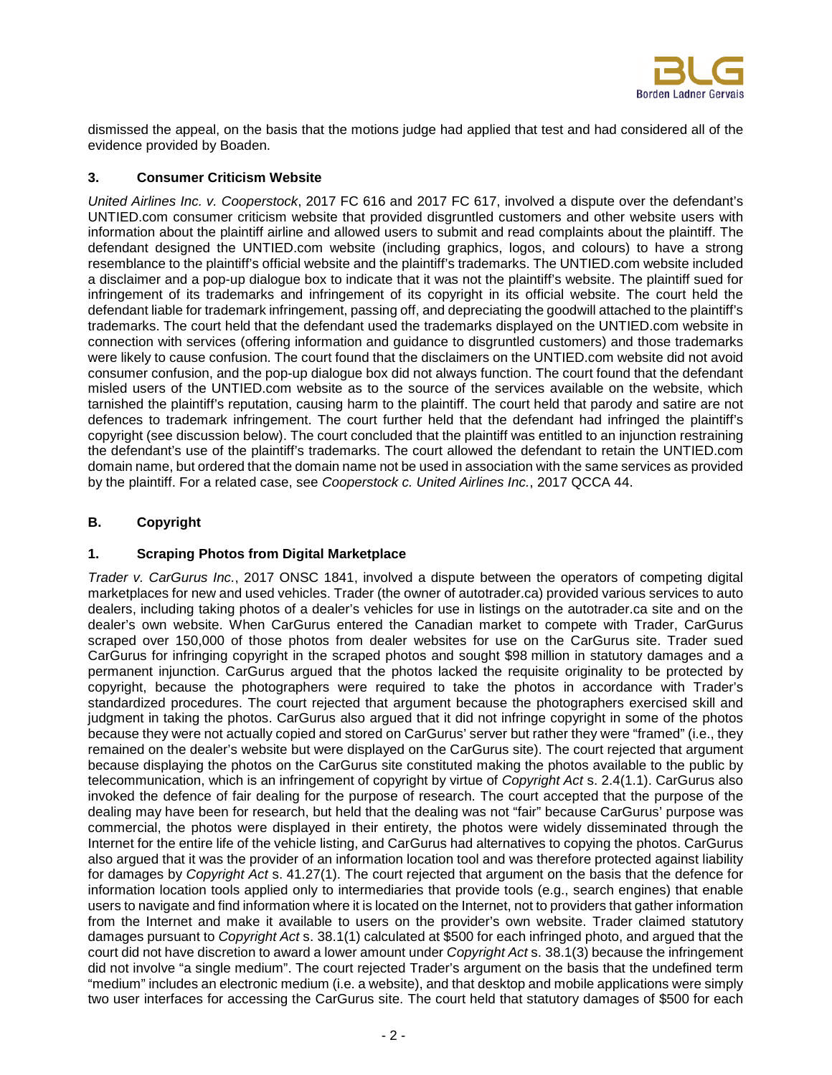

dismissed the appeal, on the basis that the motions judge had applied that test and had considered all of the evidence provided by Boaden.

#### **3. Consumer Criticism Website**

*United Airlines Inc. v. Cooperstock*, 2017 FC 616 and 2017 FC 617, involved a dispute over the defendant's UNTIED.com consumer criticism website that provided disgruntled customers and other website users with information about the plaintiff airline and allowed users to submit and read complaints about the plaintiff. The defendant designed the UNTIED.com website (including graphics, logos, and colours) to have a strong resemblance to the plaintiff's official website and the plaintiff's trademarks. The UNTIED.com website included a disclaimer and a pop-up dialogue box to indicate that it was not the plaintiff's website. The plaintiff sued for infringement of its trademarks and infringement of its copyright in its official website. The court held the defendant liable for trademark infringement, passing off, and depreciating the goodwill attached to the plaintiff's trademarks. The court held that the defendant used the trademarks displayed on the UNTIED.com website in connection with services (offering information and guidance to disgruntled customers) and those trademarks were likely to cause confusion. The court found that the disclaimers on the UNTIED.com website did not avoid consumer confusion, and the pop-up dialogue box did not always function. The court found that the defendant misled users of the UNTIED.com website as to the source of the services available on the website, which tarnished the plaintiff's reputation, causing harm to the plaintiff. The court held that parody and satire are not defences to trademark infringement. The court further held that the defendant had infringed the plaintiff's copyright (see discussion below). The court concluded that the plaintiff was entitled to an injunction restraining the defendant's use of the plaintiff's trademarks. The court allowed the defendant to retain the UNTIED.com domain name, but ordered that the domain name not be used in association with the same services as provided by the plaintiff. For a related case, see *Cooperstock c. United Airlines Inc.*, 2017 QCCA 44.

# **B. Copyright**

# **1. Scraping Photos from Digital Marketplace**

*Trader v. CarGurus Inc.*, 2017 ONSC 1841, involved a dispute between the operators of competing digital marketplaces for new and used vehicles. Trader (the owner of autotrader.ca) provided various services to auto dealers, including taking photos of a dealer's vehicles for use in listings on the autotrader.ca site and on the dealer's own website. When CarGurus entered the Canadian market to compete with Trader, CarGurus scraped over 150,000 of those photos from dealer websites for use on the CarGurus site. Trader sued CarGurus for infringing copyright in the scraped photos and sought \$98 million in statutory damages and a permanent injunction. CarGurus argued that the photos lacked the requisite originality to be protected by copyright, because the photographers were required to take the photos in accordance with Trader's standardized procedures. The court rejected that argument because the photographers exercised skill and judgment in taking the photos. CarGurus also argued that it did not infringe copyright in some of the photos because they were not actually copied and stored on CarGurus' server but rather they were "framed" (i.e., they remained on the dealer's website but were displayed on the CarGurus site). The court rejected that argument because displaying the photos on the CarGurus site constituted making the photos available to the public by telecommunication, which is an infringement of copyright by virtue of *Copyright Act* s. 2.4(1.1). CarGurus also invoked the defence of fair dealing for the purpose of research. The court accepted that the purpose of the dealing may have been for research, but held that the dealing was not "fair" because CarGurus' purpose was commercial, the photos were displayed in their entirety, the photos were widely disseminated through the Internet for the entire life of the vehicle listing, and CarGurus had alternatives to copying the photos. CarGurus also argued that it was the provider of an information location tool and was therefore protected against liability for damages by *Copyright Act* s. 41.27(1). The court rejected that argument on the basis that the defence for information location tools applied only to intermediaries that provide tools (e.g., search engines) that enable users to navigate and find information where it is located on the Internet, not to providers that gather information from the Internet and make it available to users on the provider's own website. Trader claimed statutory damages pursuant to *Copyright Act* s. 38.1(1) calculated at \$500 for each infringed photo, and argued that the court did not have discretion to award a lower amount under *Copyright Act* s. 38.1(3) because the infringement did not involve "a single medium". The court rejected Trader's argument on the basis that the undefined term "medium" includes an electronic medium (i.e. a website), and that desktop and mobile applications were simply two user interfaces for accessing the CarGurus site. The court held that statutory damages of \$500 for each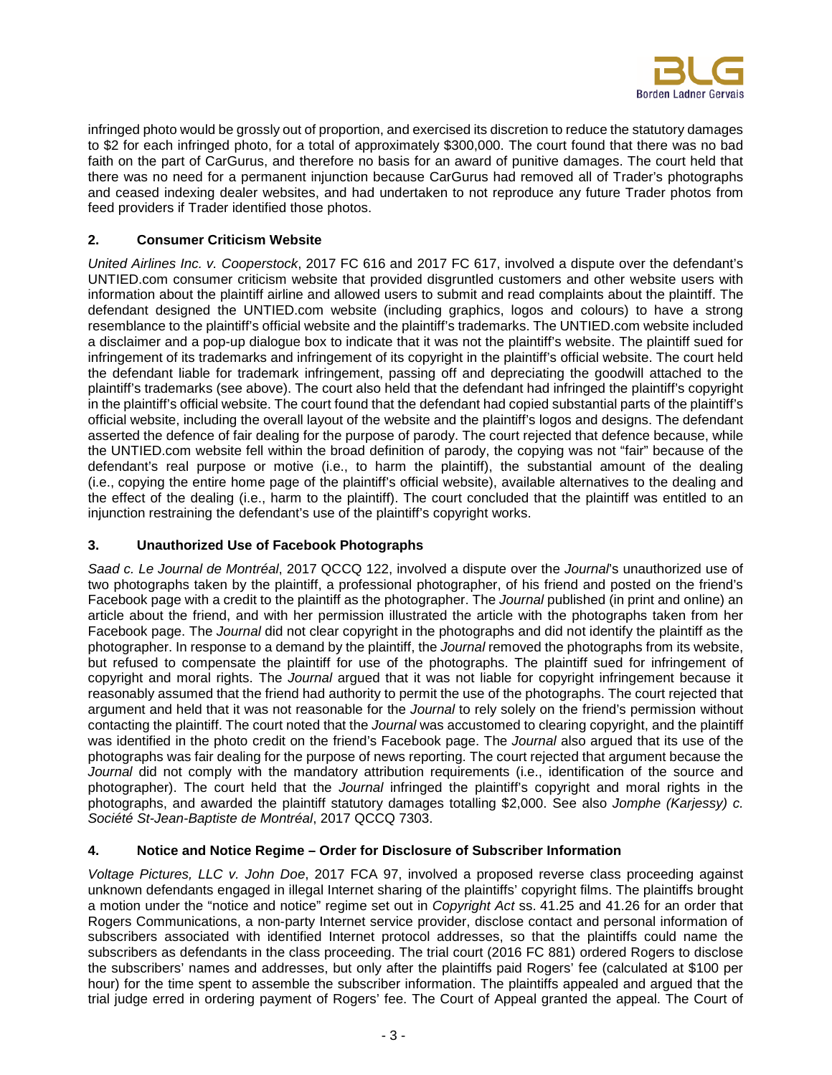

infringed photo would be grossly out of proportion, and exercised its discretion to reduce the statutory damages to \$2 for each infringed photo, for a total of approximately \$300,000. The court found that there was no bad faith on the part of CarGurus, and therefore no basis for an award of punitive damages. The court held that there was no need for a permanent injunction because CarGurus had removed all of Trader's photographs and ceased indexing dealer websites, and had undertaken to not reproduce any future Trader photos from feed providers if Trader identified those photos.

# **2. Consumer Criticism Website**

*United Airlines Inc. v. Cooperstock*, 2017 FC 616 and 2017 FC 617, involved a dispute over the defendant's UNTIED.com consumer criticism website that provided disgruntled customers and other website users with information about the plaintiff airline and allowed users to submit and read complaints about the plaintiff. The defendant designed the UNTIED.com website (including graphics, logos and colours) to have a strong resemblance to the plaintiff's official website and the plaintiff's trademarks. The UNTIED.com website included a disclaimer and a pop-up dialogue box to indicate that it was not the plaintiff's website. The plaintiff sued for infringement of its trademarks and infringement of its copyright in the plaintiff's official website. The court held the defendant liable for trademark infringement, passing off and depreciating the goodwill attached to the plaintiff's trademarks (see above). The court also held that the defendant had infringed the plaintiff's copyright in the plaintiff's official website. The court found that the defendant had copied substantial parts of the plaintiff's official website, including the overall layout of the website and the plaintiff's logos and designs. The defendant asserted the defence of fair dealing for the purpose of parody. The court rejected that defence because, while the UNTIED.com website fell within the broad definition of parody, the copying was not "fair" because of the defendant's real purpose or motive (i.e., to harm the plaintiff), the substantial amount of the dealing (i.e., copying the entire home page of the plaintiff's official website), available alternatives to the dealing and the effect of the dealing (i.e., harm to the plaintiff). The court concluded that the plaintiff was entitled to an injunction restraining the defendant's use of the plaintiff's copyright works.

# **3. Unauthorized Use of Facebook Photographs**

*Saad c. Le Journal de Montréal*, 2017 QCCQ 122, involved a dispute over the *Journal*'s unauthorized use of two photographs taken by the plaintiff, a professional photographer, of his friend and posted on the friend's Facebook page with a credit to the plaintiff as the photographer. The *Journal* published (in print and online) an article about the friend, and with her permission illustrated the article with the photographs taken from her Facebook page. The *Journal* did not clear copyright in the photographs and did not identify the plaintiff as the photographer. In response to a demand by the plaintiff, the *Journal* removed the photographs from its website, but refused to compensate the plaintiff for use of the photographs. The plaintiff sued for infringement of copyright and moral rights. The *Journal* argued that it was not liable for copyright infringement because it reasonably assumed that the friend had authority to permit the use of the photographs. The court rejected that argument and held that it was not reasonable for the *Journal* to rely solely on the friend's permission without contacting the plaintiff. The court noted that the *Journal* was accustomed to clearing copyright, and the plaintiff was identified in the photo credit on the friend's Facebook page. The *Journal* also argued that its use of the photographs was fair dealing for the purpose of news reporting. The court rejected that argument because the *Journal* did not comply with the mandatory attribution requirements (i.e., identification of the source and photographer). The court held that the *Journal* infringed the plaintiff's copyright and moral rights in the photographs, and awarded the plaintiff statutory damages totalling \$2,000. See also *Jomphe (Karjessy) c. Société St-Jean-Baptiste de Montréal*, 2017 QCCQ 7303.

# **4. Notice and Notice Regime – Order for Disclosure of Subscriber Information**

*Voltage Pictures, LLC v. John Doe*, 2017 FCA 97, involved a proposed reverse class proceeding against unknown defendants engaged in illegal Internet sharing of the plaintiffs' copyright films. The plaintiffs brought a motion under the "notice and notice" regime set out in *Copyright Act* ss. 41.25 and 41.26 for an order that Rogers Communications, a non-party Internet service provider, disclose contact and personal information of subscribers associated with identified Internet protocol addresses, so that the plaintiffs could name the subscribers as defendants in the class proceeding. The trial court (2016 FC 881) ordered Rogers to disclose the subscribers' names and addresses, but only after the plaintiffs paid Rogers' fee (calculated at \$100 per hour) for the time spent to assemble the subscriber information. The plaintiffs appealed and argued that the trial judge erred in ordering payment of Rogers' fee. The Court of Appeal granted the appeal. The Court of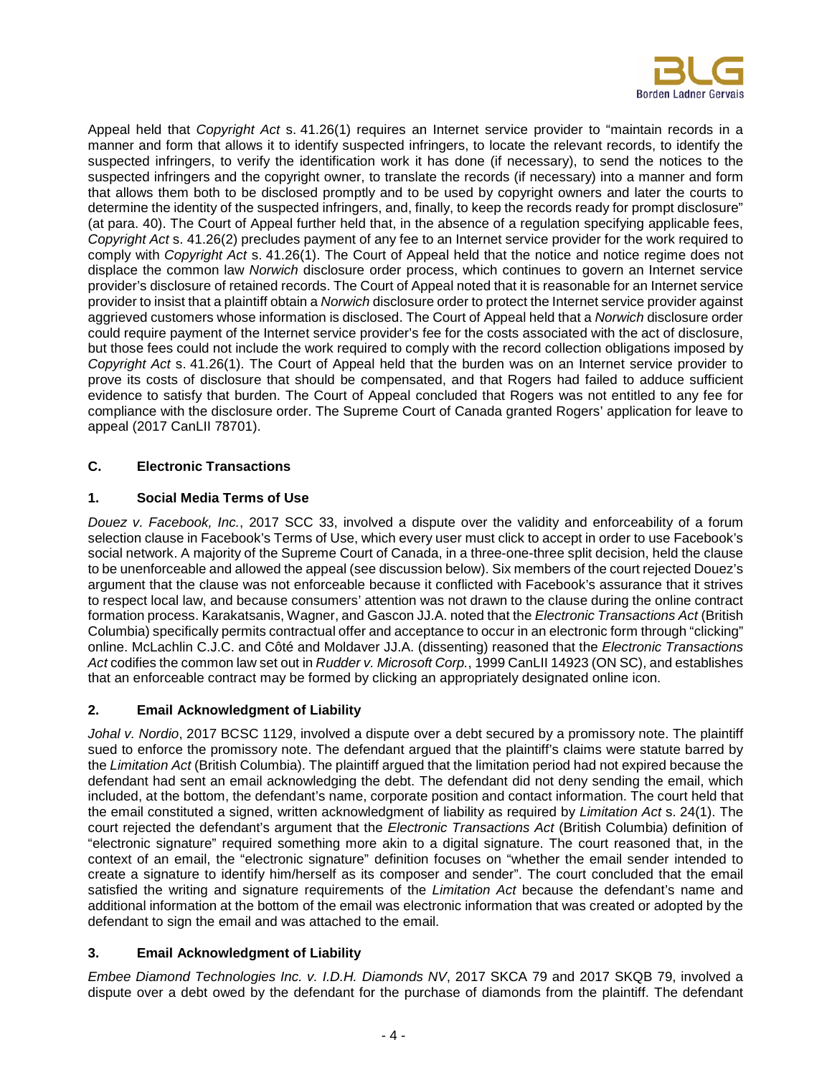

Appeal held that *Copyright Act* s. 41.26(1) requires an Internet service provider to "maintain records in a manner and form that allows it to identify suspected infringers, to locate the relevant records, to identify the suspected infringers, to verify the identification work it has done (if necessary), to send the notices to the suspected infringers and the copyright owner, to translate the records (if necessary) into a manner and form that allows them both to be disclosed promptly and to be used by copyright owners and later the courts to determine the identity of the suspected infringers, and, finally, to keep the records ready for prompt disclosure" (at para. 40). The Court of Appeal further held that, in the absence of a regulation specifying applicable fees, *Copyright Act* s. 41.26(2) precludes payment of any fee to an Internet service provider for the work required to comply with *Copyright Act* s. 41.26(1). The Court of Appeal held that the notice and notice regime does not displace the common law *Norwich* disclosure order process, which continues to govern an Internet service provider's disclosure of retained records. The Court of Appeal noted that it is reasonable for an Internet service provider to insist that a plaintiff obtain a *Norwich* disclosure order to protect the Internet service provider against aggrieved customers whose information is disclosed. The Court of Appeal held that a *Norwich* disclosure order could require payment of the Internet service provider's fee for the costs associated with the act of disclosure, but those fees could not include the work required to comply with the record collection obligations imposed by *Copyright Act* s. 41.26(1). The Court of Appeal held that the burden was on an Internet service provider to prove its costs of disclosure that should be compensated, and that Rogers had failed to adduce sufficient evidence to satisfy that burden. The Court of Appeal concluded that Rogers was not entitled to any fee for compliance with the disclosure order. The Supreme Court of Canada granted Rogers' application for leave to appeal (2017 CanLII 78701).

# **C. Electronic Transactions**

# **1. Social Media Terms of Use**

*Douez v. Facebook, Inc.*, 2017 SCC 33, involved a dispute over the validity and enforceability of a forum selection clause in Facebook's Terms of Use, which every user must click to accept in order to use Facebook's social network. A majority of the Supreme Court of Canada, in a three-one-three split decision, held the clause to be unenforceable and allowed the appeal (see discussion below). Six members of the court rejected Douez's argument that the clause was not enforceable because it conflicted with Facebook's assurance that it strives to respect local law, and because consumers' attention was not drawn to the clause during the online contract formation process. Karakatsanis, Wagner, and Gascon JJ.A. noted that the *Electronic Transactions Act* (British Columbia) specifically permits contractual offer and acceptance to occur in an electronic form through "clicking" online. McLachlin C.J.C. and Côté and Moldaver JJ.A. (dissenting) reasoned that the *Electronic Transactions Act* codifies the common law set out in *Rudder v. Microsoft Corp.*, 1999 CanLII 14923 (ON SC), and establishes that an enforceable contract may be formed by clicking an appropriately designated online icon.

# **2. Email Acknowledgment of Liability**

*Johal v. Nordio*, 2017 BCSC 1129, involved a dispute over a debt secured by a promissory note. The plaintiff sued to enforce the promissory note. The defendant argued that the plaintiff's claims were statute barred by the *Limitation Act* (British Columbia). The plaintiff argued that the limitation period had not expired because the defendant had sent an email acknowledging the debt. The defendant did not deny sending the email, which included, at the bottom, the defendant's name, corporate position and contact information. The court held that the email constituted a signed, written acknowledgment of liability as required by *Limitation Act* s. 24(1). The court rejected the defendant's argument that the *Electronic Transactions Act* (British Columbia) definition of "electronic signature" required something more akin to a digital signature. The court reasoned that, in the context of an email, the "electronic signature" definition focuses on "whether the email sender intended to create a signature to identify him/herself as its composer and sender". The court concluded that the email satisfied the writing and signature requirements of the *Limitation Act* because the defendant's name and additional information at the bottom of the email was electronic information that was created or adopted by the defendant to sign the email and was attached to the email.

# **3. Email Acknowledgment of Liability**

*Embee Diamond Technologies Inc. v. I.D.H. Diamonds NV*, 2017 SKCA 79 and 2017 SKQB 79, involved a dispute over a debt owed by the defendant for the purchase of diamonds from the plaintiff. The defendant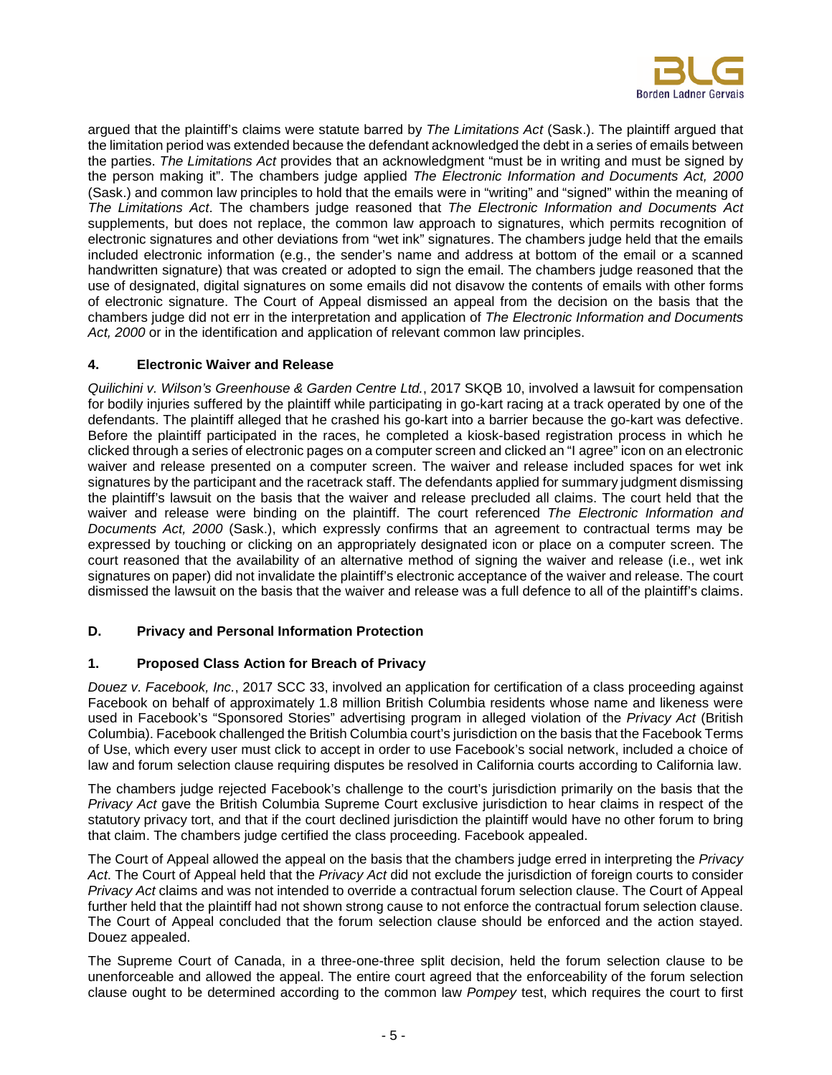

argued that the plaintiff's claims were statute barred by *The Limitations Act* (Sask.). The plaintiff argued that the limitation period was extended because the defendant acknowledged the debt in a series of emails between the parties. *The Limitations Act* provides that an acknowledgment "must be in writing and must be signed by the person making it". The chambers judge applied *The Electronic Information and Documents Act, 2000* (Sask.) and common law principles to hold that the emails were in "writing" and "signed" within the meaning of *The Limitations Act*. The chambers judge reasoned that *The Electronic Information and Documents Act*  supplements, but does not replace, the common law approach to signatures, which permits recognition of electronic signatures and other deviations from "wet ink" signatures. The chambers judge held that the emails included electronic information (e.g., the sender's name and address at bottom of the email or a scanned handwritten signature) that was created or adopted to sign the email. The chambers judge reasoned that the use of designated, digital signatures on some emails did not disavow the contents of emails with other forms of electronic signature. The Court of Appeal dismissed an appeal from the decision on the basis that the chambers judge did not err in the interpretation and application of *The Electronic Information and Documents Act, 2000* or in the identification and application of relevant common law principles.

#### **4. Electronic Waiver and Release**

*Quilichini v. Wilson's Greenhouse & Garden Centre Ltd.*, 2017 SKQB 10, involved a lawsuit for compensation for bodily injuries suffered by the plaintiff while participating in go-kart racing at a track operated by one of the defendants. The plaintiff alleged that he crashed his go-kart into a barrier because the go-kart was defective. Before the plaintiff participated in the races, he completed a kiosk-based registration process in which he clicked through a series of electronic pages on a computer screen and clicked an "I agree" icon on an electronic waiver and release presented on a computer screen. The waiver and release included spaces for wet ink signatures by the participant and the racetrack staff. The defendants applied for summary judgment dismissing the plaintiff's lawsuit on the basis that the waiver and release precluded all claims. The court held that the waiver and release were binding on the plaintiff. The court referenced *The Electronic Information and Documents Act, 2000* (Sask.), which expressly confirms that an agreement to contractual terms may be expressed by touching or clicking on an appropriately designated icon or place on a computer screen. The court reasoned that the availability of an alternative method of signing the waiver and release (i.e., wet ink signatures on paper) did not invalidate the plaintiff's electronic acceptance of the waiver and release. The court dismissed the lawsuit on the basis that the waiver and release was a full defence to all of the plaintiff's claims.

# **D. Privacy and Personal Information Protection**

#### **1. Proposed Class Action for Breach of Privacy**

*Douez v. Facebook, Inc.*, 2017 SCC 33, involved an application for certification of a class proceeding against Facebook on behalf of approximately 1.8 million British Columbia residents whose name and likeness were used in Facebook's "Sponsored Stories" advertising program in alleged violation of the *Privacy Act* (British Columbia). Facebook challenged the British Columbia court's jurisdiction on the basis that the Facebook Terms of Use, which every user must click to accept in order to use Facebook's social network, included a choice of law and forum selection clause requiring disputes be resolved in California courts according to California law.

The chambers judge rejected Facebook's challenge to the court's jurisdiction primarily on the basis that the *Privacy Act* gave the British Columbia Supreme Court exclusive jurisdiction to hear claims in respect of the statutory privacy tort, and that if the court declined jurisdiction the plaintiff would have no other forum to bring that claim. The chambers judge certified the class proceeding. Facebook appealed.

The Court of Appeal allowed the appeal on the basis that the chambers judge erred in interpreting the *Privacy Act*. The Court of Appeal held that the *Privacy Act* did not exclude the jurisdiction of foreign courts to consider *Privacy Act* claims and was not intended to override a contractual forum selection clause. The Court of Appeal further held that the plaintiff had not shown strong cause to not enforce the contractual forum selection clause. The Court of Appeal concluded that the forum selection clause should be enforced and the action stayed. Douez appealed.

The Supreme Court of Canada, in a three-one-three split decision, held the forum selection clause to be unenforceable and allowed the appeal. The entire court agreed that the enforceability of the forum selection clause ought to be determined according to the common law *Pompey* test, which requires the court to first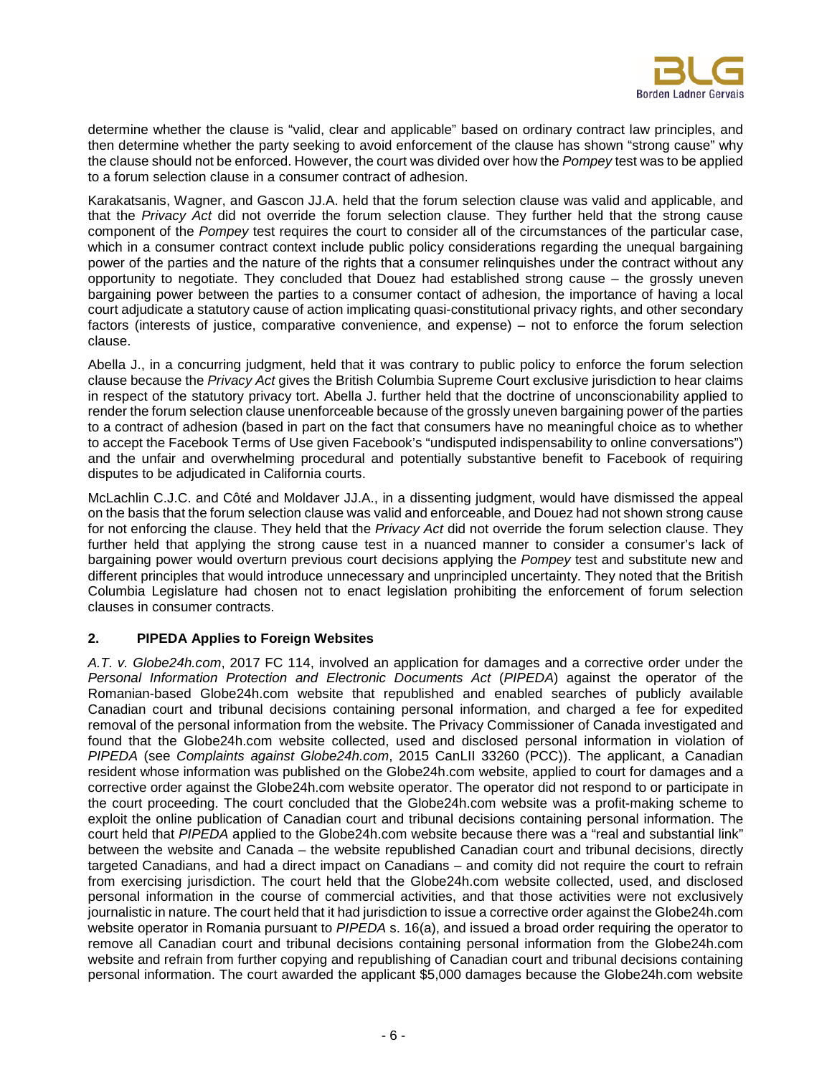

determine whether the clause is "valid, clear and applicable" based on ordinary contract law principles, and then determine whether the party seeking to avoid enforcement of the clause has shown "strong cause" why the clause should not be enforced. However, the court was divided over how the *Pompey* test was to be applied to a forum selection clause in a consumer contract of adhesion.

Karakatsanis, Wagner, and Gascon JJ.A. held that the forum selection clause was valid and applicable, and that the *Privacy Act* did not override the forum selection clause. They further held that the strong cause component of the *Pompey* test requires the court to consider all of the circumstances of the particular case, which in a consumer contract context include public policy considerations regarding the unequal bargaining power of the parties and the nature of the rights that a consumer relinquishes under the contract without any opportunity to negotiate. They concluded that Douez had established strong cause – the grossly uneven bargaining power between the parties to a consumer contact of adhesion, the importance of having a local court adjudicate a statutory cause of action implicating quasi-constitutional privacy rights, and other secondary factors (interests of justice, comparative convenience, and expense) – not to enforce the forum selection clause.

Abella J., in a concurring judgment, held that it was contrary to public policy to enforce the forum selection clause because the *Privacy Act* gives the British Columbia Supreme Court exclusive jurisdiction to hear claims in respect of the statutory privacy tort. Abella J. further held that the doctrine of unconscionability applied to render the forum selection clause unenforceable because of the grossly uneven bargaining power of the parties to a contract of adhesion (based in part on the fact that consumers have no meaningful choice as to whether to accept the Facebook Terms of Use given Facebook's "undisputed indispensability to online conversations") and the unfair and overwhelming procedural and potentially substantive benefit to Facebook of requiring disputes to be adjudicated in California courts.

McLachlin C.J.C. and Côté and Moldaver JJ.A., in a dissenting judgment, would have dismissed the appeal on the basis that the forum selection clause was valid and enforceable, and Douez had not shown strong cause for not enforcing the clause. They held that the *Privacy Act* did not override the forum selection clause. They further held that applying the strong cause test in a nuanced manner to consider a consumer's lack of bargaining power would overturn previous court decisions applying the *Pompey* test and substitute new and different principles that would introduce unnecessary and unprincipled uncertainty. They noted that the British Columbia Legislature had chosen not to enact legislation prohibiting the enforcement of forum selection clauses in consumer contracts.

# **2. PIPEDA Applies to Foreign Websites**

*A.T. v. Globe24h.com*, 2017 FC 114, involved an application for damages and a corrective order under the *Personal Information Protection and Electronic Documents Act* (*PIPEDA*) against the operator of the Romanian-based Globe24h.com website that republished and enabled searches of publicly available Canadian court and tribunal decisions containing personal information, and charged a fee for expedited removal of the personal information from the website. The Privacy Commissioner of Canada investigated and found that the Globe24h.com website collected, used and disclosed personal information in violation of *PIPEDA* (see *Complaints against Globe24h.com*, 2015 CanLII 33260 (PCC)). The applicant, a Canadian resident whose information was published on the Globe24h.com website, applied to court for damages and a corrective order against the Globe24h.com website operator. The operator did not respond to or participate in the court proceeding. The court concluded that the Globe24h.com website was a profit-making scheme to exploit the online publication of Canadian court and tribunal decisions containing personal information. The court held that *PIPEDA* applied to the Globe24h.com website because there was a "real and substantial link" between the website and Canada – the website republished Canadian court and tribunal decisions, directly targeted Canadians, and had a direct impact on Canadians – and comity did not require the court to refrain from exercising jurisdiction. The court held that the Globe24h.com website collected, used, and disclosed personal information in the course of commercial activities, and that those activities were not exclusively journalistic in nature. The court held that it had jurisdiction to issue a corrective order against the Globe24h.com website operator in Romania pursuant to *PIPEDA* s. 16(a), and issued a broad order requiring the operator to remove all Canadian court and tribunal decisions containing personal information from the Globe24h.com website and refrain from further copying and republishing of Canadian court and tribunal decisions containing personal information. The court awarded the applicant \$5,000 damages because the Globe24h.com website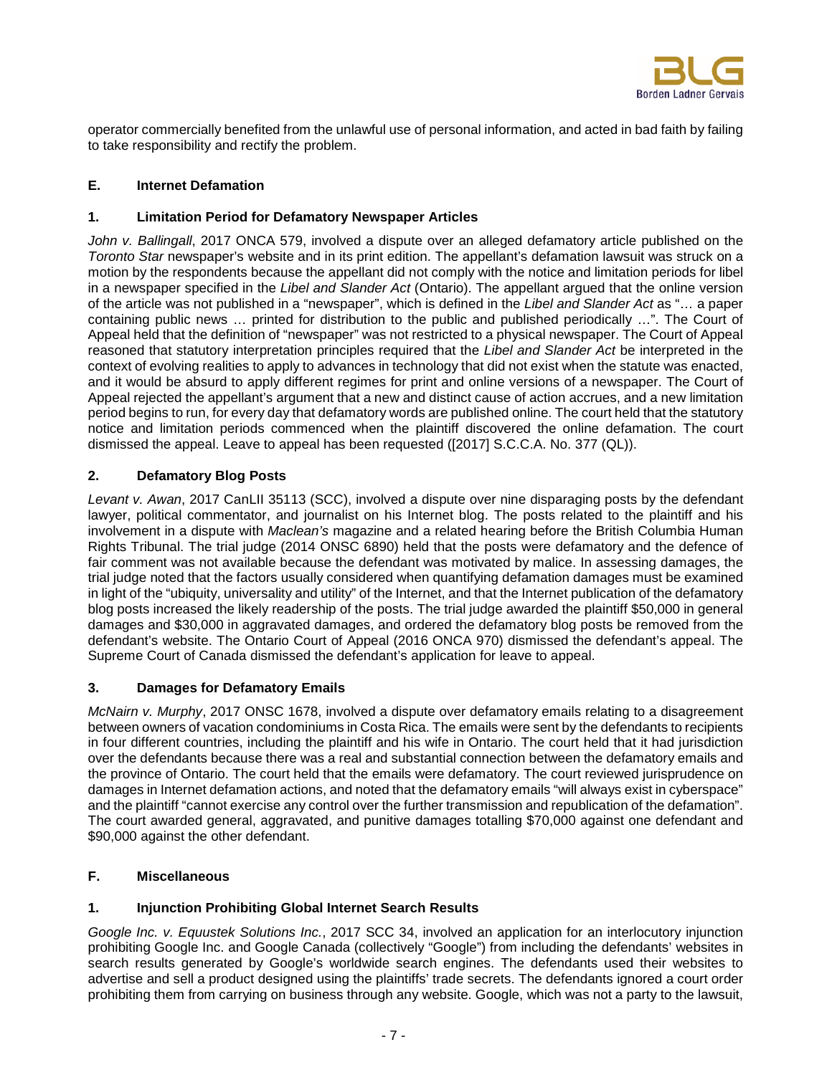

operator commercially benefited from the unlawful use of personal information, and acted in bad faith by failing to take responsibility and rectify the problem.

# **E. Internet Defamation**

#### **1. Limitation Period for Defamatory Newspaper Articles**

*John v. Ballingall*, 2017 ONCA 579, involved a dispute over an alleged defamatory article published on the *Toronto Star* newspaper's website and in its print edition. The appellant's defamation lawsuit was struck on a motion by the respondents because the appellant did not comply with the notice and limitation periods for libel in a newspaper specified in the *Libel and Slander Act* (Ontario). The appellant argued that the online version of the article was not published in a "newspaper", which is defined in the *Libel and Slander Act* as "… a paper containing public news … printed for distribution to the public and published periodically …". The Court of Appeal held that the definition of "newspaper" was not restricted to a physical newspaper. The Court of Appeal reasoned that statutory interpretation principles required that the *Libel and Slander Act* be interpreted in the context of evolving realities to apply to advances in technology that did not exist when the statute was enacted, and it would be absurd to apply different regimes for print and online versions of a newspaper. The Court of Appeal rejected the appellant's argument that a new and distinct cause of action accrues, and a new limitation period begins to run, for every day that defamatory words are published online. The court held that the statutory notice and limitation periods commenced when the plaintiff discovered the online defamation. The court dismissed the appeal. Leave to appeal has been requested ([2017] S.C.C.A. No. 377 (QL)).

# **2. Defamatory Blog Posts**

*Levant v. Awan*, 2017 CanLII 35113 (SCC), involved a dispute over nine disparaging posts by the defendant lawyer, political commentator, and journalist on his Internet blog. The posts related to the plaintiff and his involvement in a dispute with *Maclean's* magazine and a related hearing before the British Columbia Human Rights Tribunal. The trial judge (2014 ONSC 6890) held that the posts were defamatory and the defence of fair comment was not available because the defendant was motivated by malice. In assessing damages, the trial judge noted that the factors usually considered when quantifying defamation damages must be examined in light of the "ubiquity, universality and utility" of the Internet, and that the Internet publication of the defamatory blog posts increased the likely readership of the posts. The trial judge awarded the plaintiff \$50,000 in general damages and \$30,000 in aggravated damages, and ordered the defamatory blog posts be removed from the defendant's website. The Ontario Court of Appeal (2016 ONCA 970) dismissed the defendant's appeal. The Supreme Court of Canada dismissed the defendant's application for leave to appeal.

# **3. Damages for Defamatory Emails**

*McNairn v. Murphy*, 2017 ONSC 1678, involved a dispute over defamatory emails relating to a disagreement between owners of vacation condominiums in Costa Rica. The emails were sent by the defendants to recipients in four different countries, including the plaintiff and his wife in Ontario. The court held that it had jurisdiction over the defendants because there was a real and substantial connection between the defamatory emails and the province of Ontario. The court held that the emails were defamatory. The court reviewed jurisprudence on damages in Internet defamation actions, and noted that the defamatory emails "will always exist in cyberspace" and the plaintiff "cannot exercise any control over the further transmission and republication of the defamation". The court awarded general, aggravated, and punitive damages totalling \$70,000 against one defendant and \$90,000 against the other defendant.

# **F. Miscellaneous**

# **1. Injunction Prohibiting Global Internet Search Results**

*Google Inc. v. Equustek Solutions Inc.*, 2017 SCC 34, involved an application for an interlocutory injunction prohibiting Google Inc. and Google Canada (collectively "Google") from including the defendants' websites in search results generated by Google's worldwide search engines. The defendants used their websites to advertise and sell a product designed using the plaintiffs' trade secrets. The defendants ignored a court order prohibiting them from carrying on business through any website. Google, which was not a party to the lawsuit,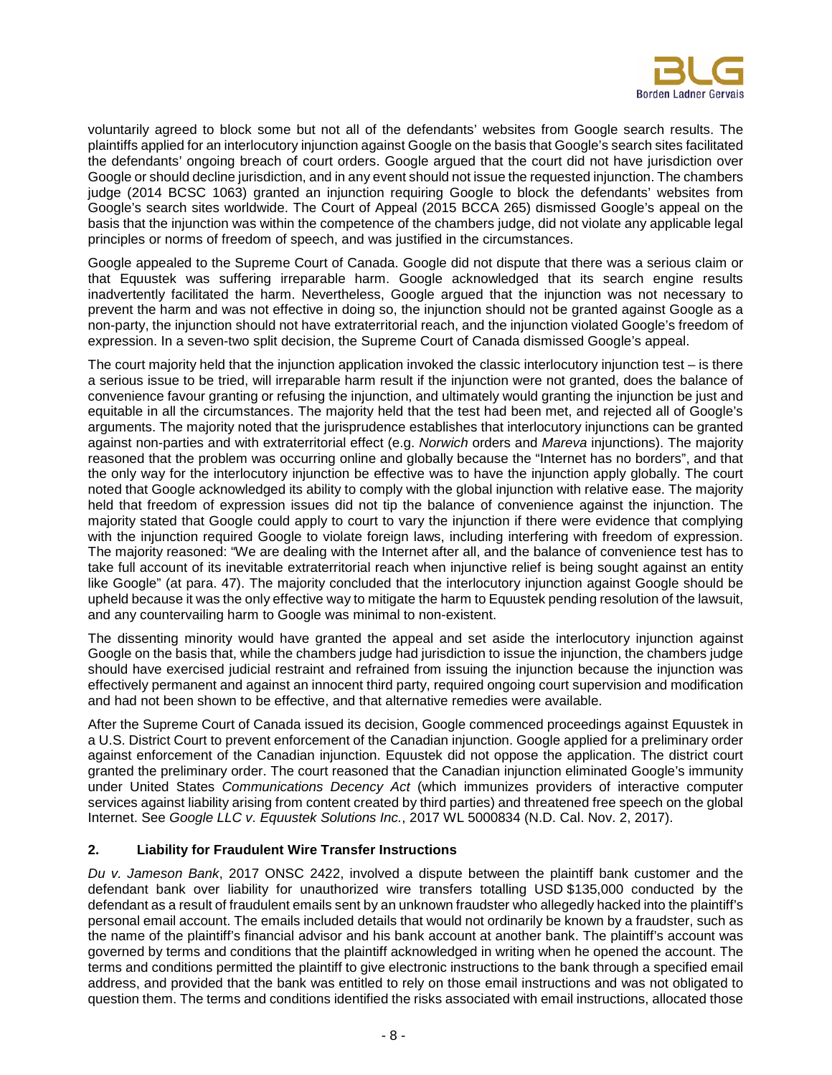

voluntarily agreed to block some but not all of the defendants' websites from Google search results. The plaintiffs applied for an interlocutory injunction against Google on the basis that Google's search sites facilitated the defendants' ongoing breach of court orders. Google argued that the court did not have jurisdiction over Google or should decline jurisdiction, and in any event should not issue the requested injunction. The chambers judge (2014 BCSC 1063) granted an injunction requiring Google to block the defendants' websites from Google's search sites worldwide. The Court of Appeal (2015 BCCA 265) dismissed Google's appeal on the basis that the injunction was within the competence of the chambers judge, did not violate any applicable legal principles or norms of freedom of speech, and was justified in the circumstances.

Google appealed to the Supreme Court of Canada. Google did not dispute that there was a serious claim or that Equustek was suffering irreparable harm. Google acknowledged that its search engine results inadvertently facilitated the harm. Nevertheless, Google argued that the injunction was not necessary to prevent the harm and was not effective in doing so, the injunction should not be granted against Google as a non-party, the injunction should not have extraterritorial reach, and the injunction violated Google's freedom of expression. In a seven-two split decision, the Supreme Court of Canada dismissed Google's appeal.

The court majority held that the injunction application invoked the classic interlocutory injunction test – is there a serious issue to be tried, will irreparable harm result if the injunction were not granted, does the balance of convenience favour granting or refusing the injunction, and ultimately would granting the injunction be just and equitable in all the circumstances. The majority held that the test had been met, and rejected all of Google's arguments. The majority noted that the jurisprudence establishes that interlocutory injunctions can be granted against non-parties and with extraterritorial effect (e.g. *Norwich* orders and *Mareva* injunctions). The majority reasoned that the problem was occurring online and globally because the "Internet has no borders", and that the only way for the interlocutory injunction be effective was to have the injunction apply globally. The court noted that Google acknowledged its ability to comply with the global injunction with relative ease. The majority held that freedom of expression issues did not tip the balance of convenience against the injunction. The majority stated that Google could apply to court to vary the injunction if there were evidence that complying with the injunction required Google to violate foreign laws, including interfering with freedom of expression. The majority reasoned: "We are dealing with the Internet after all, and the balance of convenience test has to take full account of its inevitable extraterritorial reach when injunctive relief is being sought against an entity like Google" (at para. 47). The majority concluded that the interlocutory injunction against Google should be upheld because it was the only effective way to mitigate the harm to Equustek pending resolution of the lawsuit, and any countervailing harm to Google was minimal to non-existent.

The dissenting minority would have granted the appeal and set aside the interlocutory injunction against Google on the basis that, while the chambers judge had jurisdiction to issue the injunction, the chambers judge should have exercised judicial restraint and refrained from issuing the injunction because the injunction was effectively permanent and against an innocent third party, required ongoing court supervision and modification and had not been shown to be effective, and that alternative remedies were available.

After the Supreme Court of Canada issued its decision, Google commenced proceedings against Equustek in a U.S. District Court to prevent enforcement of the Canadian injunction. Google applied for a preliminary order against enforcement of the Canadian injunction. Equustek did not oppose the application. The district court granted the preliminary order. The court reasoned that the Canadian injunction eliminated Google's immunity under United States *Communications Decency Act* (which immunizes providers of interactive computer services against liability arising from content created by third parties) and threatened free speech on the global Internet. See *Google LLC v. Equustek Solutions Inc.*, 2017 WL 5000834 (N.D. Cal. Nov. 2, 2017).

#### **2. Liability for Fraudulent Wire Transfer Instructions**

*Du v. Jameson Bank*, 2017 ONSC 2422, involved a dispute between the plaintiff bank customer and the defendant bank over liability for unauthorized wire transfers totalling USD \$135,000 conducted by the defendant as a result of fraudulent emails sent by an unknown fraudster who allegedly hacked into the plaintiff's personal email account. The emails included details that would not ordinarily be known by a fraudster, such as the name of the plaintiff's financial advisor and his bank account at another bank. The plaintiff's account was governed by terms and conditions that the plaintiff acknowledged in writing when he opened the account. The terms and conditions permitted the plaintiff to give electronic instructions to the bank through a specified email address, and provided that the bank was entitled to rely on those email instructions and was not obligated to question them. The terms and conditions identified the risks associated with email instructions, allocated those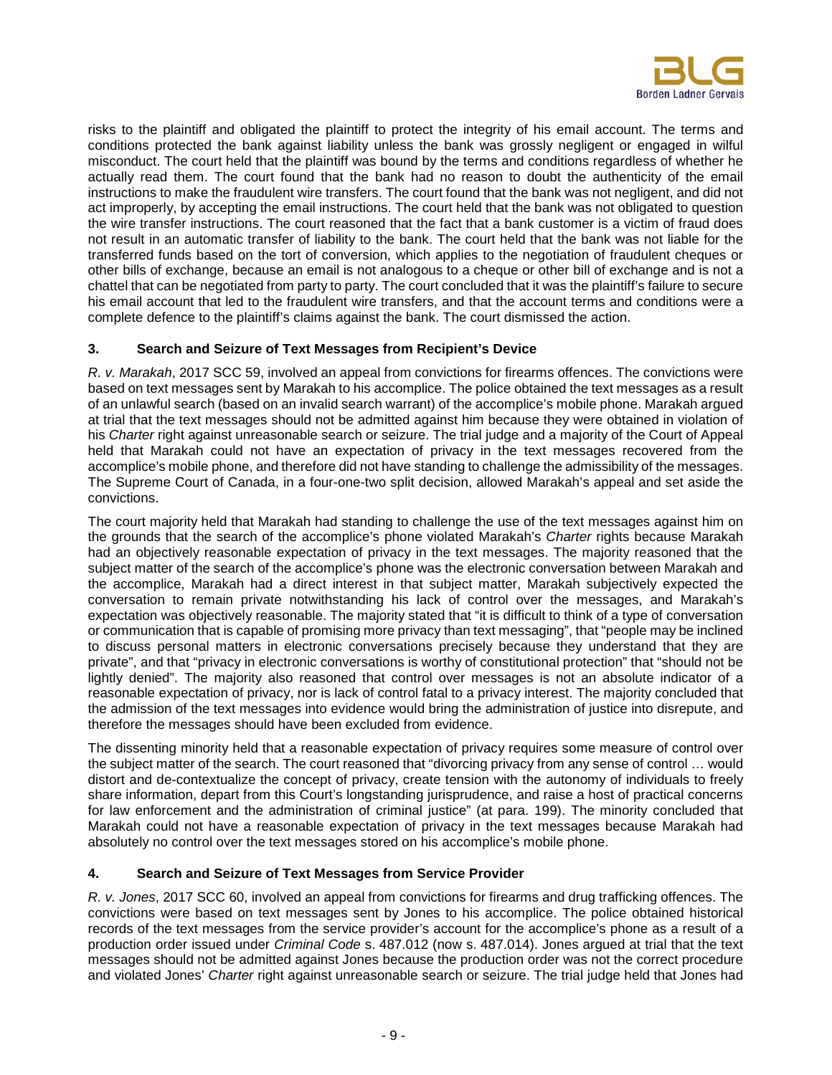

risks to the plaintiff and obligated the plaintiff to protect the integrity of his email account. The terms and conditions protected the bank against liability unless the bank was grossly negligent or engaged in wilful misconduct. The court held that the plaintiff was bound by the terms and conditions regardless of whether he actually read them. The court found that the bank had no reason to doubt the authenticity of the email instructions to make the fraudulent wire transfers. The court found that the bank was not negligent, and did not act improperly, by accepting the email instructions. The court held that the bank was not obligated to question the wire transfer instructions. The court reasoned that the fact that a bank customer is a victim of fraud does not result in an automatic transfer of liability to the bank. The court held that the bank was not liable for the transferred funds based on the tort of conversion, which applies to the negotiation of fraudulent cheques or other bills of exchange, because an email is not analogous to a cheque or other bill of exchange and is not a chattel that can be negotiated from party to party. The court concluded that it was the plaintiff's failure to secure his email account that led to the fraudulent wire transfers, and that the account terms and conditions were a complete defence to the plaintiff's claims against the bank. The court dismissed the action.

#### **3. Search and Seizure of Text Messages from Recipient's Device**

*R. v. Marakah*, 2017 SCC 59, involved an appeal from convictions for firearms offences. The convictions were based on text messages sent by Marakah to his accomplice. The police obtained the text messages as a result of an unlawful search (based on an invalid search warrant) of the accomplice's mobile phone. Marakah argued at trial that the text messages should not be admitted against him because they were obtained in violation of his *Charter* right against unreasonable search or seizure. The trial judge and a majority of the Court of Appeal held that Marakah could not have an expectation of privacy in the text messages recovered from the accomplice's mobile phone, and therefore did not have standing to challenge the admissibility of the messages. The Supreme Court of Canada, in a four-one-two split decision, allowed Marakah's appeal and set aside the convictions.

The court majority held that Marakah had standing to challenge the use of the text messages against him on the grounds that the search of the accomplice's phone violated Marakah's *Charter* rights because Marakah had an objectively reasonable expectation of privacy in the text messages. The majority reasoned that the subject matter of the search of the accomplice's phone was the electronic conversation between Marakah and the accomplice, Marakah had a direct interest in that subject matter, Marakah subjectively expected the conversation to remain private notwithstanding his lack of control over the messages, and Marakah's expectation was objectively reasonable. The majority stated that "it is difficult to think of a type of conversation or communication that is capable of promising more privacy than text messaging", that "people may be inclined to discuss personal matters in electronic conversations precisely because they understand that they are private", and that "privacy in electronic conversations is worthy of constitutional protection" that "should not be lightly denied". The majority also reasoned that control over messages is not an absolute indicator of a reasonable expectation of privacy, nor is lack of control fatal to a privacy interest. The majority concluded that the admission of the text messages into evidence would bring the administration of justice into disrepute, and therefore the messages should have been excluded from evidence.

The dissenting minority held that a reasonable expectation of privacy requires some measure of control over the subject matter of the search. The court reasoned that "divorcing privacy from any sense of control … would distort and de-contextualize the concept of privacy, create tension with the autonomy of individuals to freely share information, depart from this Court's longstanding jurisprudence, and raise a host of practical concerns for law enforcement and the administration of criminal justice" (at para. 199). The minority concluded that Marakah could not have a reasonable expectation of privacy in the text messages because Marakah had absolutely no control over the text messages stored on his accomplice's mobile phone.

#### **4. Search and Seizure of Text Messages from Service Provider**

*R. v. Jones*, 2017 SCC 60, involved an appeal from convictions for firearms and drug trafficking offences. The convictions were based on text messages sent by Jones to his accomplice. The police obtained historical records of the text messages from the service provider's account for the accomplice's phone as a result of a production order issued under *Criminal Code* s. 487.012 (now s. 487.014). Jones argued at trial that the text messages should not be admitted against Jones because the production order was not the correct procedure and violated Jones' *Charter* right against unreasonable search or seizure. The trial judge held that Jones had